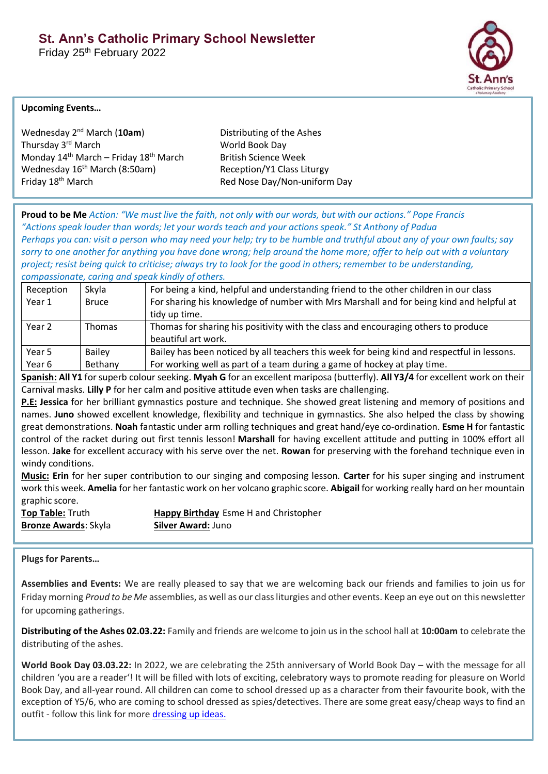Friday 25<sup>th</sup> February 2022



## **Upcoming Events…**

Wednesday 2<sup>nd</sup> March (10am) Distributing of the Ashes Thursday 3<sup>rd</sup> March World Book Day Monday  $14<sup>th</sup>$  March – Friday  $18<sup>th</sup>$  March British Science Week Wednesday 16<sup>th</sup> March (8:50am) Reception/Y1 Class Liturgy Friday 18<sup>th</sup> March **Red Nose Day/Non-uniform Day** 

**Proud to be Me** *Action: "We must live the faith, not only with our words, but with our actions." Pope Francis "Actions speak louder than words; let your words teach and your actions speak." St Anthony of Padua Perhaps you can: visit a person who may need your help; try to be humble and truthful about any of your own faults; say sorry to one another for anything you have done wrong; help around the home more; offer to help out with a voluntary project; resist being quick to criticise; always try to look for the good in others; remember to be understanding, compassionate, caring and speak kindly of others.*

| Reception | Skyla         | For being a kind, helpful and understanding friend to the other children in our class       |
|-----------|---------------|---------------------------------------------------------------------------------------------|
| Year 1    | <b>Bruce</b>  | For sharing his knowledge of number with Mrs Marshall and for being kind and helpful at     |
|           |               | tidy up time.                                                                               |
| Year 2    | <b>Thomas</b> | Thomas for sharing his positivity with the class and encouraging others to produce          |
|           |               | beautiful art work.                                                                         |
| Year 5    | <b>Bailey</b> | Bailey has been noticed by all teachers this week for being kind and respectful in lessons. |
| Year 6    | Bethany       | For working well as part of a team during a game of hockey at play time.                    |

**Spanish: All Y1** for superb colour seeking. **Myah G** for an excellent mariposa (butterfly). **All Y3/4** for excellent work on their Carnival masks. **Lilly P** for her calm and positive attitude even when tasks are challenging.

**P.E: Jessica** for her brilliant gymnastics posture and technique. She showed great listening and memory of positions and names. **Juno** showed excellent knowledge, flexibility and technique in gymnastics. She also helped the class by showing great demonstrations. **Noah** fantastic under arm rolling techniques and great hand/eye co-ordination. **Esme H** for fantastic control of the racket during out first tennis lesson! **Marshall** for having excellent attitude and putting in 100% effort all lesson. **Jake** for excellent accuracy with his serve over the net. **Rowan** for preserving with the forehand technique even in windy conditions.

**Music: Erin** for her super contribution to our singing and composing lesson. **Carter** for his super singing and instrument work this week. **Amelia** for her fantastic work on her volcano graphic score. **Abigail** for working really hard on her mountain graphic score.

**Bronze Awards**: Skyla **Silver Award:** Juno

**Top Table:** Truth **Happy Birthday** Esme H and Christopher

**Plugs for Parents…**

**Assemblies and Events:** We are really pleased to say that we are welcoming back our friends and families to join us for Friday morning *Proud to be Me* assemblies, as well as our class liturgies and other events. Keep an eye out on this newsletter for upcoming gatherings.

**Distributing of the Ashes 02.03.22:** Family and friends are welcome to join us in the school hall at **10:00am** to celebrate the distributing of the ashes.

**World Book Day 03.03.22:** In 2022, we are celebrating the 25th anniversary of World Book Day – with the message for all children 'you are a reader'! It will be filled with lots of exciting, celebratory ways to promote reading for pleasure on World Book Day, and all-year round. All children can come to school dressed up as a character from their favourite book, with the exception of Y5/6, who are coming to school dressed as spies/detectives. There are some great easy/cheap ways to find an outfit - follow this link for mor[e dressing up ideas.](https://www.worldbookday.com/dressing-up-ideas/)